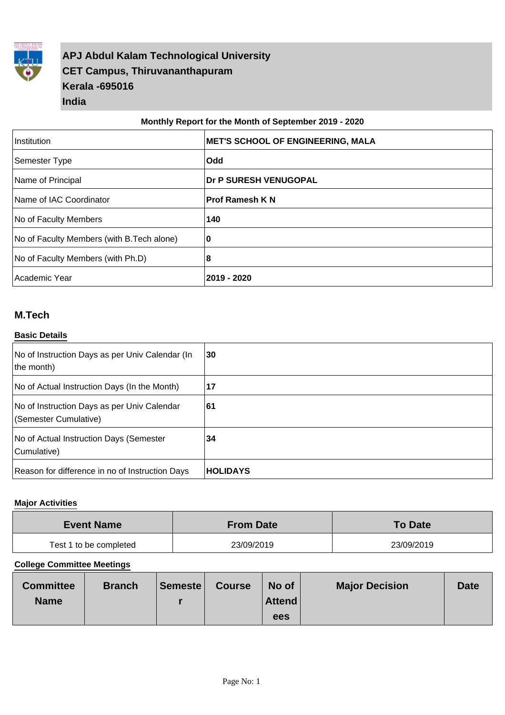

# **APJ Abdul Kalam Technological University CET Campus, Thiruvananthapuram Kerala -695016 India**

#### **Monthly Report for the Month of September 2019 - 2020**

| Institution                                | <b>MET'S SCHOOL OF ENGINEERING, MALA</b> |
|--------------------------------------------|------------------------------------------|
| Semester Type                              | <b>Odd</b>                               |
| Name of Principal                          | <b>Dr P SURESH VENUGOPAL</b>             |
| Name of IAC Coordinator                    | <b>Prof Ramesh K N</b>                   |
| No of Faculty Members                      | 140                                      |
| No of Faculty Members (with B. Tech alone) | 0                                        |
| No of Faculty Members (with Ph.D)          | 18                                       |
| Academic Year                              | 2019 - 2020                              |

## **M.Tech**

#### **Basic Details**

| No of Instruction Days as per Univ Calendar (In<br>the month)        | 30              |
|----------------------------------------------------------------------|-----------------|
| No of Actual Instruction Days (In the Month)                         | 17              |
| No of Instruction Days as per Univ Calendar<br>(Semester Cumulative) | 61              |
| No of Actual Instruction Days (Semester<br>Cumulative)               | 34              |
| Reason for difference in no of Instruction Days                      | <b>HOLIDAYS</b> |

#### **Major Activities**

| <b>Event Name</b>      | <b>From Date</b> | <b>To Date</b> |
|------------------------|------------------|----------------|
| Test 1 to be completed | 23/09/2019       | 23/09/2019     |

| <b>Committee</b> | <b>Branch</b> | <b>Semeste</b> | <b>Course</b> | No of  | <b>Major Decision</b> | <b>Date</b> |
|------------------|---------------|----------------|---------------|--------|-----------------------|-------------|
| <b>Name</b>      |               |                |               | Attend |                       |             |
|                  |               |                |               | ees    |                       |             |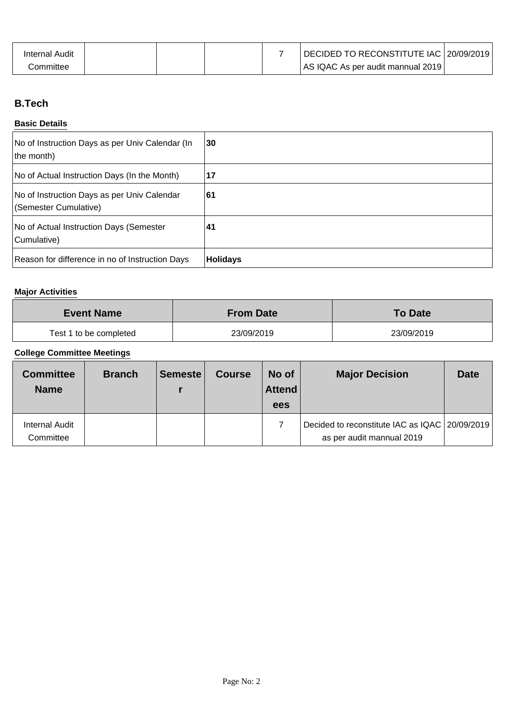| Internal Audit |  |  | DECIDED TO RECONSTITUTE IAC 20/09/2019 |  |
|----------------|--|--|----------------------------------------|--|
| committee:     |  |  | AS IQAC As per audit mannual 2019      |  |

# **B.Tech**

### **Basic Details**

| No of Instruction Days as per Univ Calendar (In<br>the month)        | 30       |
|----------------------------------------------------------------------|----------|
| No of Actual Instruction Days (In the Month)                         | 17       |
| No of Instruction Days as per Univ Calendar<br>(Semester Cumulative) | 61       |
| No of Actual Instruction Days (Semester<br>Cumulative)               | 41       |
| Reason for difference in no of Instruction Days                      | Holidays |

# **Major Activities**

| <b>Event Name</b>      | <b>From Date</b> | <b>To Date</b> |
|------------------------|------------------|----------------|
| Test 1 to be completed | 23/09/2019       | 23/09/2019     |

| <b>Committee</b><br><b>Name</b>    | <b>Branch</b> | Semeste | <b>Course</b> | No of<br>Attend<br>ees | <b>Major Decision</b>                                                       | <b>Date</b> |
|------------------------------------|---------------|---------|---------------|------------------------|-----------------------------------------------------------------------------|-------------|
| <b>Internal Audit</b><br>Committee |               |         |               |                        | Decided to reconstitute IAC as IQAC 20/09/2019<br>as per audit mannual 2019 |             |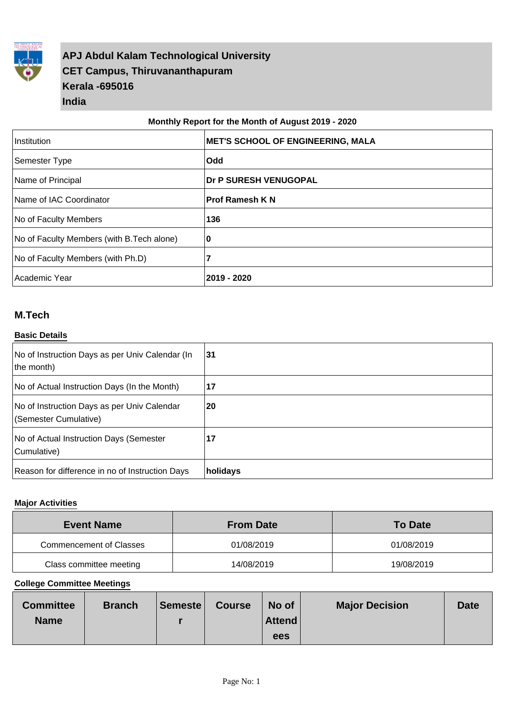

# **APJ Abdul Kalam Technological University CET Campus, Thiruvananthapuram Kerala -695016 India**

#### **Monthly Report for the Month of August 2019 - 2020**

| Institution                                | <b>IMET'S SCHOOL OF ENGINEERING, MALA</b> |
|--------------------------------------------|-------------------------------------------|
| Semester Type                              | <b>Odd</b>                                |
| Name of Principal                          | Dr P SURESH VENUGOPAL                     |
| Name of IAC Coordinator                    | <b>Prof Ramesh K N</b>                    |
| No of Faculty Members                      | 136                                       |
| No of Faculty Members (with B. Tech alone) | 10                                        |
| No of Faculty Members (with Ph.D)          | 7                                         |
| Academic Year                              | 2019 - 2020                               |

## **M.Tech**

#### **Basic Details**

| No of Instruction Days as per Univ Calendar (In<br>the month)        | 31       |
|----------------------------------------------------------------------|----------|
| No of Actual Instruction Days (In the Month)                         | 17       |
| No of Instruction Days as per Univ Calendar<br>(Semester Cumulative) | 20       |
| No of Actual Instruction Days (Semester<br>Cumulative)               | 17       |
| Reason for difference in no of Instruction Days                      | holidays |

#### **Major Activities**

| <b>Event Name</b>       | <b>From Date</b> | <b>To Date</b> |
|-------------------------|------------------|----------------|
| Commencement of Classes | 01/08/2019       | 01/08/2019     |
| Class committee meeting | 14/08/2019       | 19/08/2019     |

| <b>Committee</b> | <b>Branch</b> | Semeste | <b>Course</b> | No of  | <b>Major Decision</b> | <b>Date</b> |
|------------------|---------------|---------|---------------|--------|-----------------------|-------------|
| <b>Name</b>      |               |         |               | Attend |                       |             |
|                  |               |         |               | ees    |                       |             |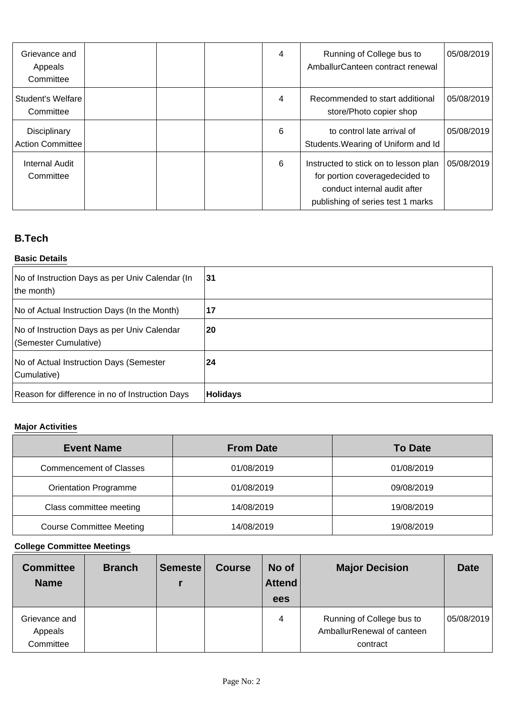| Grievance and<br>Appeals<br>Committee   |  | 4 | Running of College bus to<br>AmballurCanteen contract renewal                                                                                | 05/08/2019 |
|-----------------------------------------|--|---|----------------------------------------------------------------------------------------------------------------------------------------------|------------|
| Student's Welfare<br>Committee          |  | 4 | Recommended to start additional<br>store/Photo copier shop                                                                                   | 05/08/2019 |
| Disciplinary<br><b>Action Committee</b> |  | 6 | to control late arrival of<br>Students. Wearing of Uniform and Id                                                                            | 05/08/2019 |
| <b>Internal Audit</b><br>Committee      |  | 6 | Instructed to stick on to lesson plan<br>for portion coveragedecided to<br>conduct internal audit after<br>publishing of series test 1 marks | 05/08/2019 |

# **B.Tech**

### **Basic Details**

| No of Instruction Days as per Univ Calendar (In<br>the month)        | 31              |
|----------------------------------------------------------------------|-----------------|
| No of Actual Instruction Days (In the Month)                         | 17              |
| No of Instruction Days as per Univ Calendar<br>(Semester Cumulative) | 20              |
| No of Actual Instruction Days (Semester<br>Cumulative)               | 24              |
| Reason for difference in no of Instruction Days                      | <b>Holidays</b> |

# **Major Activities**

| <b>Event Name</b>               | <b>From Date</b> | <b>To Date</b> |
|---------------------------------|------------------|----------------|
| <b>Commencement of Classes</b>  | 01/08/2019       | 01/08/2019     |
| <b>Orientation Programme</b>    | 01/08/2019       | 09/08/2019     |
| Class committee meeting         | 14/08/2019       | 19/08/2019     |
| <b>Course Committee Meeting</b> | 14/08/2019       | 19/08/2019     |

| <b>Committee</b><br><b>Name</b>       | <b>Branch</b> | <b>Semeste</b> | <b>Course</b> | No of<br>Attend<br>ees | <b>Major Decision</b>                                               | <b>Date</b> |
|---------------------------------------|---------------|----------------|---------------|------------------------|---------------------------------------------------------------------|-------------|
| Grievance and<br>Appeals<br>Committee |               |                |               | 4                      | Running of College bus to<br>AmballurRenewal of canteen<br>contract | 05/08/2019  |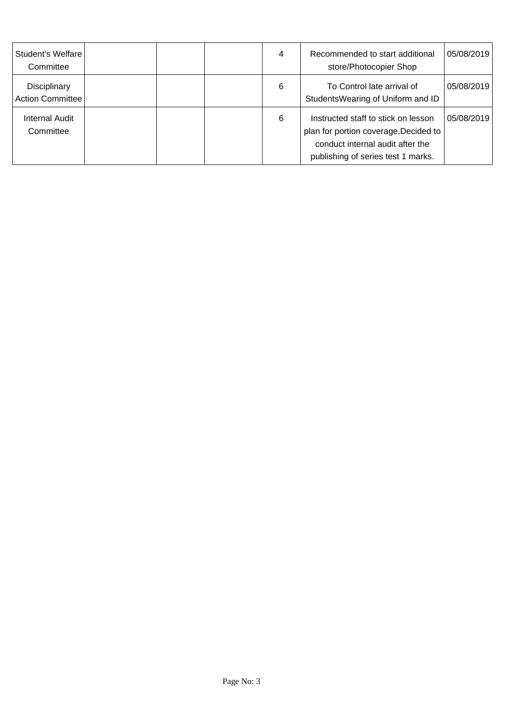| Student's Welfare<br>Committee     |  | 4 | Recommended to start additional<br>store/Photocopier Shop                                                                                              | 05/08/2019 |
|------------------------------------|--|---|--------------------------------------------------------------------------------------------------------------------------------------------------------|------------|
| Disciplinary<br>Action Committee   |  | 6 | To Control late arrival of<br>StudentsWearing of Uniform and ID                                                                                        | 05/08/2019 |
| <b>Internal Audit</b><br>Committee |  | 6 | Instructed staff to stick on lesson<br>plan for portion coverage. Decided to<br>conduct internal audit after the<br>publishing of series test 1 marks. | 05/08/2019 |